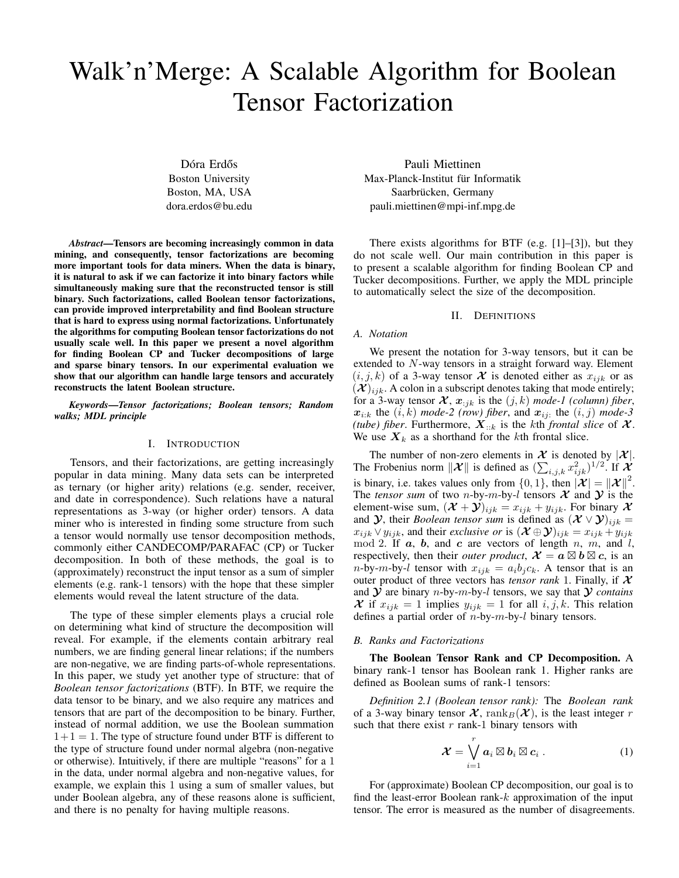# Walk'n'Merge: A Scalable Algorithm for Boolean Tensor Factorization

Dóra Erdős Boston University Boston, MA, USA dora.erdos@bu.edu

*Abstract*—Tensors are becoming increasingly common in data mining, and consequently, tensor factorizations are becoming more important tools for data miners. When the data is binary, it is natural to ask if we can factorize it into binary factors while simultaneously making sure that the reconstructed tensor is still binary. Such factorizations, called Boolean tensor factorizations, can provide improved interpretability and find Boolean structure that is hard to express using normal factorizations. Unfortunately the algorithms for computing Boolean tensor factorizations do not usually scale well. In this paper we present a novel algorithm for finding Boolean CP and Tucker decompositions of large and sparse binary tensors. In our experimental evaluation we show that our algorithm can handle large tensors and accurately reconstructs the latent Boolean structure.

*Keywords*—*Tensor factorizations; Boolean tensors; Random walks; MDL principle*

## I. INTRODUCTION

Tensors, and their factorizations, are getting increasingly popular in data mining. Many data sets can be interpreted as ternary (or higher arity) relations (e.g. sender, receiver, and date in correspondence). Such relations have a natural representations as 3-way (or higher order) tensors. A data miner who is interested in finding some structure from such a tensor would normally use tensor decomposition methods, commonly either CANDECOMP/PARAFAC (CP) or Tucker decomposition. In both of these methods, the goal is to (approximately) reconstruct the input tensor as a sum of simpler elements (e.g. rank-1 tensors) with the hope that these simpler elements would reveal the latent structure of the data.

The type of these simpler elements plays a crucial role on determining what kind of structure the decomposition will reveal. For example, if the elements contain arbitrary real numbers, we are finding general linear relations; if the numbers are non-negative, we are finding parts-of-whole representations. In this paper, we study yet another type of structure: that of *Boolean tensor factorizations* (BTF). In BTF, we require the data tensor to be binary, and we also require any matrices and tensors that are part of the decomposition to be binary. Further, instead of normal addition, we use the Boolean summation  $1+1=1$ . The type of structure found under BTF is different to the type of structure found under normal algebra (non-negative or otherwise). Intuitively, if there are multiple "reasons" for a 1 in the data, under normal algebra and non-negative values, for example, we explain this 1 using a sum of smaller values, but under Boolean algebra, any of these reasons alone is sufficient, and there is no penalty for having multiple reasons.

Pauli Miettinen Max-Planck-Institut für Informatik Saarbrücken, Germany pauli.miettinen@mpi-inf.mpg.de

There exists algorithms for BTF (e.g.  $[1]$ – $[3]$ ), but they do not scale well. Our main contribution in this paper is to present a scalable algorithm for finding Boolean CP and Tucker decompositions. Further, we apply the MDL principle to automatically select the size of the decomposition.

#### II. DEFINITIONS

## *A. Notation*

We present the notation for 3-way tensors, but it can be extended to N-way tensors in a straight forward way. Element  $(i, j, k)$  of a 3-way tensor X is denoted either as  $x_{ijk}$  or as  $(X)_{ijk}$ . A colon in a subscript denotes taking that mode entirely; for a 3-way tensor  $\mathcal{X}, x_{:jk}$  is the  $(j, k)$  mode-1 (column) fiber,  $x_{i:k}$  the  $(i,k)$  *mode-2 (row) fiber, and*  $x_{ij}$ *: the*  $(i, j)$  *mode-3 (tube) fiber.* Furthermore,  $X_{::k}$  is the kth *frontal slice* of  $X$ . We use  $X_k$  as a shorthand for the kth frontal slice.

The number of non-zero elements in  $\mathcal X$  is denoted by  $|\mathcal X|$ . The Frobenius norm  $\|\mathcal{X}\|$  is defined as  $(\sum_{i,j,k} x_{ijk}^2)^{1/2}$ . If  $\mathcal{X}$ is binary, i.e. takes values only from  $\{0, 1\}$ , then  $|\mathcal{X}| = ||\mathcal{X}||^2$ . The *tensor sum* of two *n*-by-*m*-by-*l* tensors  $X$  and  $Y$  is the element-wise sum,  $(\mathcal{X} + \mathcal{Y})_{ijk} = x_{ijk} + y_{ijk}$ . For binary X and *y*, their *Boolean tensor sum* is defined as  $(\mathcal{X} \vee \mathcal{Y})_{ijk} =$  $x_{ijk} \vee y_{ijk}$ , and their *exclusive or* is  $(\mathcal{X} \oplus \mathcal{Y})_{ijk} = x_{ijk} + y_{ijk}$ mod 2. If  $a$ ,  $b$ , and  $c$  are vectors of length  $n$ ,  $m$ , and  $l$ , respectively, then their *outer product*,  $\mathcal{X} = \mathbf{a} \boxtimes \mathbf{b} \boxtimes \mathbf{c}$ , is an  $n$ -by- $m$ -by- $l$  tensor with  $x_{ijk} = a_i b_j c_k$ . A tensor that is an outer product of three vectors has *tensor rank* 1. Finally, if  $X$ and  $Y$  are binary *n*-by-*m*-by-*l* tensors, we say that  $Y$  *contains* X if  $x_{ijk} = 1$  implies  $y_{ijk} = 1$  for all  $i, j, k$ . This relation defines a partial order of  $n$ -by- $m$ -by- $l$  binary tensors.

#### *B. Ranks and Factorizations*

The Boolean Tensor Rank and CP Decomposition. A binary rank-1 tensor has Boolean rank 1. Higher ranks are defined as Boolean sums of rank-1 tensors:

*Definition 2.1 (Boolean tensor rank):* The *Boolean rank* of a 3-way binary tensor  $\mathcal{X}$ , rank $_B(\mathcal{X})$ , is the least integer r such that there exist  $r$  rank-1 binary tensors with

$$
\mathcal{X} = \bigvee_{i=1}^r a_i \boxtimes b_i \boxtimes c_i . \tag{1}
$$

For (approximate) Boolean CP decomposition, our goal is to find the least-error Boolean rank- $k$  approximation of the input tensor. The error is measured as the number of disagreements.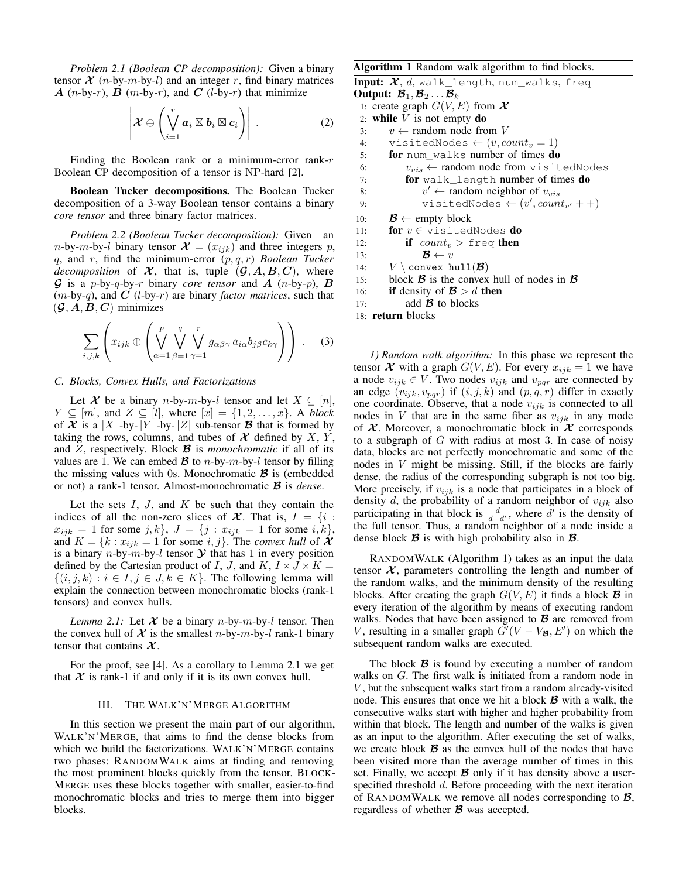*Problem 2.1 (Boolean CP decomposition):* Given a binary tensor  $\mathcal{X}$  (*n*-by-*m*-by-*l*) and an integer *r*, find binary matrices  $A$  (n-by-r),  $B$  (m-by-r), and  $C$  (l-by-r) that minimize

$$
\left|\mathcal{X}\oplus\left(\bigvee_{i=1}^r a_i\boxtimes b_i\boxtimes c_i\right)\right|.
$$
 (2)

Finding the Boolean rank or a minimum-error rank- $r$ Boolean CP decomposition of a tensor is NP-hard [2].

Boolean Tucker decompositions. The Boolean Tucker decomposition of a 3-way Boolean tensor contains a binary *core tensor* and three binary factor matrices.

*Problem 2.2 (Boolean Tucker decomposition):* Given an *n*-by-*m*-by-*l* binary tensor  $\mathcal{X} = (x_{ijk})$  and three integers p, q, and r, find the minimum-error (p, q, r) *Boolean Tucker decomposition* of  $X$ , that is, tuple  $(G, A, B, C)$ , where  $\mathcal G$  is a p-by-q-by-r binary *core tensor* and  $A$  (n-by-p),  $B$  $(m-by-q)$ , and  $C$  (*l*-by-*r*) are binary *factor matrices*, such that  $({\mathcal G}, A, B, C)$  minimizes

$$
\sum_{i,j,k} \left( x_{ijk} \oplus \left( \bigvee_{\alpha=1}^p \bigvee_{\beta=1}^q \bigvee_{\gamma=1}^r g_{\alpha\beta\gamma} a_{i\alpha} b_{j\beta} c_{k\gamma} \right) \right) . \tag{3}
$$

## *C. Blocks, Convex Hulls, and Factorizations*

Let X be a binary n-by-m-by-l tensor and let  $X \subseteq [n]$ ,  $Y \subseteq [m]$ , and  $Z \subseteq [l]$ , where  $[x] = \{1, 2, \ldots, x\}$ . A *block* of  $X$  is a  $|X|$ -by- $|Y|$ -by- $|Z|$  sub-tensor  $\mathcal B$  that is formed by taking the rows, columns, and tubes of  $X$  defined by  $X$ ,  $Y$ , and  $Z$ , respectively. Block  $\beta$  is *monochromatic* if all of its values are 1. We can embed  $\mathcal{B}$  to *n*-by-*m*-by-*l* tensor by filling the missing values with 0s. Monochromatic  $\mathcal{B}$  is (embedded or not) a rank-1 tensor. Almost-monochromatic B is *dense*.

Let the sets  $I, J$ , and  $K$  be such that they contain the indices of all the non-zero slices of  $\mathcal{X}$ . That is,  $I = \{i :$  $x_{ijk} = 1$  for some j, k},  $J = \{j : x_{ijk} = 1 \text{ for some } i, k\},\$ and  $K = \{k : x_{ijk} = 1 \text{ for some } i, j\}$ . The *convex hull* of  $\mathcal{X}$ is a binary *n*-by-*m*-by-*l* tensor  $\mathcal Y$  that has 1 in every position defined by the Cartesian product of I, J, and  $K$ ,  $I \times J \times K =$  $\{(i, j, k) : i \in I, j \in J, k \in K\}$ . The following lemma will explain the connection between monochromatic blocks (rank-1 tensors) and convex hulls.

*Lemma 2.1:* Let  $X$  be a binary *n*-by-*m*-by-*l* tensor. Then the convex hull of  $X$  is the smallest n-by-m-by-l rank-1 binary tensor that contains  $\mathcal{X}$ .

For the proof, see [4]. As a corollary to Lemma 2.1 we get that  $X$  is rank-1 if and only if it is its own convex hull.

## III. THE WALK'N'MERGE ALGORITHM

In this section we present the main part of our algorithm, WALK'N'MERGE, that aims to find the dense blocks from which we build the factorizations. WALK'N'MERGE contains two phases: RANDOMWALK aims at finding and removing the most prominent blocks quickly from the tensor. BLOCK-MERGE uses these blocks together with smaller, easier-to-find monochromatic blocks and tries to merge them into bigger blocks.

## Algorithm 1 Random walk algorithm to find blocks.

```
Input: \mathcal{X}, d, walk_length, num_walks, freq
Output: \mathcal{B}_1, \mathcal{B}_2 \ldots \mathcal{B}_k1: create graph G(V, E) from X2: while V is not empty do
 3: v \leftarrow random node from V
 4: visitedNodes \leftarrow (v, count_v = 1)5: for num_walks number of times do
 6: v_{vis} \leftarrow \text{random node from visitedNodes}7: for walk_length number of times do
  8: v' \leftarrow \text{random neighbor of } v_{vis}9: visitedNodes \leftarrow (v', count_{v'} + +)10: \mathcal{B} \leftarrow \text{empty block}11: for v \in \forall visitedNodes do
12: if count_v > \text{freq} then
13: \mathcal{B} \leftarrow v14: V \setminus \text{convex\_hull}(\mathcal{B})15: block \mathcal{B} is the convex hull of nodes in \mathcal{B}16: if density of \mathcal{B} > d then
17: add \mathcal{B} to blocks
18: return blocks
```
*1) Random walk algorithm:* In this phase we represent the tensor  $\mathcal X$  with a graph  $G(V, E)$ . For every  $x_{ijk} = 1$  we have a node  $v_{ijk} \in V$ . Two nodes  $v_{ijk}$  and  $v_{pqr}$  are connected by an edge  $(v_{ijk}, v_{pqr})$  if  $(i, j, k)$  and  $(p, q, r)$  differ in exactly one coordinate. Observe, that a node  $v_{ijk}$  is connected to all nodes in V that are in the same fiber as  $v_{ijk}$  in any mode of  $X$ . Moreover, a monochromatic block in  $X$  corresponds to a subgraph of  $G$  with radius at most 3. In case of noisy data, blocks are not perfectly monochromatic and some of the nodes in V might be missing. Still, if the blocks are fairly dense, the radius of the corresponding subgraph is not too big. More precisely, if  $v_{ijk}$  is a node that participates in a block of density d, the probability of a random neighbor of  $v_{ijk}$  also participating in that block is  $\frac{d}{d+d'}$ , where d' is the density of the full tensor. Thus, a random neighbor of a node inside a dense block  $\mathcal B$  is with high probability also in  $\mathcal B$ .

RANDOMWALK (Algorithm 1) takes as an input the data tensor  $\mathcal{X}$ , parameters controlling the length and number of the random walks, and the minimum density of the resulting blocks. After creating the graph  $G(V, E)$  it finds a block  $\mathcal{B}$  in every iteration of the algorithm by means of executing random walks. Nodes that have been assigned to  $\mathcal{B}$  are removed from V, resulting in a smaller graph  $\tilde{G}'(V - V_{\mathcal{B}}, E')$  on which the subsequent random walks are executed.

The block  $\beta$  is found by executing a number of random walks on G. The first walk is initiated from a random node in  $V$ , but the subsequent walks start from a random already-visited node. This ensures that once we hit a block B with a walk, the consecutive walks start with higher and higher probability from within that block. The length and number of the walks is given as an input to the algorithm. After executing the set of walks, we create block  $\beta$  as the convex hull of the nodes that have been visited more than the average number of times in this set. Finally, we accept  $\mathcal B$  only if it has density above a userspecified threshold d. Before proceeding with the next iteration of RANDOMWALK we remove all nodes corresponding to  $\mathcal{B}$ , regardless of whether  $\boldsymbol{\mathcal{B}}$  was accepted.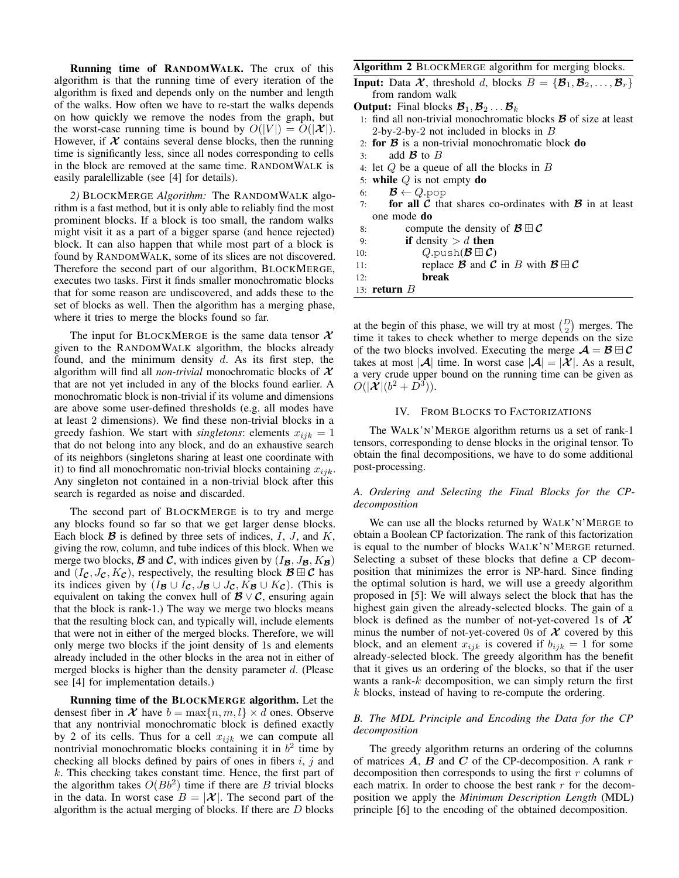Running time of RANDOMWALK. The crux of this algorithm is that the running time of every iteration of the algorithm is fixed and depends only on the number and length of the walks. How often we have to re-start the walks depends on how quickly we remove the nodes from the graph, but the worst-case running time is bound by  $O(|V|) = O(|\mathcal{X}|)$ . However, if  $X$  contains several dense blocks, then the running time is significantly less, since all nodes corresponding to cells in the block are removed at the same time. RANDOMWALK is easily paralellizable (see [4] for details).

*2)* BLOCKMERGE *Algorithm:* The RANDOMWALK algorithm is a fast method, but it is only able to reliably find the most prominent blocks. If a block is too small, the random walks might visit it as a part of a bigger sparse (and hence rejected) block. It can also happen that while most part of a block is found by RANDOMWALK, some of its slices are not discovered. Therefore the second part of our algorithm, BLOCKMERGE, executes two tasks. First it finds smaller monochromatic blocks that for some reason are undiscovered, and adds these to the set of blocks as well. Then the algorithm has a merging phase, where it tries to merge the blocks found so far.

The input for BLOCKMERGE is the same data tensor  $\mathcal{X}$ given to the RANDOMWALK algorithm, the blocks already found, and the minimum density  $d$ . As its first step, the algorithm will find all *non-trivial* monochromatic blocks of X that are not yet included in any of the blocks found earlier. A monochromatic block is non-trivial if its volume and dimensions are above some user-defined thresholds (e.g. all modes have at least 2 dimensions). We find these non-trivial blocks in a greedy fashion. We start with *singletons*: elements  $x_{ijk} = 1$ that do not belong into any block, and do an exhaustive search of its neighbors (singletons sharing at least one coordinate with it) to find all monochromatic non-trivial blocks containing  $x_{ijk}$ . Any singleton not contained in a non-trivial block after this search is regarded as noise and discarded.

The second part of BLOCKMERGE is to try and merge any blocks found so far so that we get larger dense blocks. Each block  $\mathcal{B}$  is defined by three sets of indices,  $I, J$ , and  $K$ , giving the row, column, and tube indices of this block. When we merge two blocks, **B** and **C**, with indices given by  $(I_{\mathcal{B}}, J_{\mathcal{B}}, K_{\mathcal{B}})$ and  $(I_{\mathcal{C}}, J_{\mathcal{C}}, K_{\mathcal{C}})$ , respectively, the resulting block  $\mathcal{B} \boxplus \mathcal{C}$  has its indices given by  $(I_{\mathcal{B}} \cup I_{\mathcal{C}}, J_{\mathcal{B}} \cup J_{\mathcal{C}}, K_{\mathcal{B}} \cup K_{\mathcal{C}})$ . (This is equivalent on taking the convex hull of  $\mathcal{B} \vee \mathcal{C}$ , ensuring again that the block is rank-1.) The way we merge two blocks means that the resulting block can, and typically will, include elements that were not in either of the merged blocks. Therefore, we will only merge two blocks if the joint density of 1s and elements already included in the other blocks in the area not in either of merged blocks is higher than the density parameter  $d$ . (Please see [4] for implementation details.)

Running time of the BLOCKMERGE algorithm. Let the densest fiber in  $\mathcal{X}$  have  $b = \max\{n, m, l\} \times d$  ones. Observe that any nontrivial monochromatic block is defined exactly by 2 of its cells. Thus for a cell  $x_{ijk}$  we can compute all nontrivial monochromatic blocks containing it in  $b^2$  time by checking all blocks defined by pairs of ones in fibers  $i, j$  and  $k$ . This checking takes constant time. Hence, the first part of the algorithm takes  $O(Bb^2)$  time if there are B trivial blocks in the data. In worst case  $B = |\mathcal{X}|$ . The second part of the algorithm is the actual merging of blocks. If there are  $D$  blocks

#### Algorithm 2 BLOCKMERGE algorithm for merging blocks.

13: return  $B$ 

at the begin of this phase, we will try at most  $\binom{D}{2}$  merges. The time it takes to check whether to merge depends on the size of the two blocks involved. Executing the merge  $\mathcal{A} = \mathcal{B} \boxplus \mathcal{C}$ takes at most  $|\mathcal{A}|$  time. In worst case  $|\mathcal{A}| = |\mathcal{X}|$ . As a result, a very crude upper bound on the running time can be given as  $O(|\mathcal{X}|(b^2+D^3)).$ 

#### IV. FROM BLOCKS TO FACTORIZATIONS

The WALK'N'MERGE algorithm returns us a set of rank-1 tensors, corresponding to dense blocks in the original tensor. To obtain the final decompositions, we have to do some additional post-processing.

# *A. Ordering and Selecting the Final Blocks for the CPdecomposition*

We can use all the blocks returned by WALK'N'MERGE to obtain a Boolean CP factorization. The rank of this factorization is equal to the number of blocks WALK'N'MERGE returned. Selecting a subset of these blocks that define a CP decomposition that minimizes the error is NP-hard. Since finding the optimal solution is hard, we will use a greedy algorithm proposed in [5]: We will always select the block that has the highest gain given the already-selected blocks. The gain of a block is defined as the number of not-yet-covered 1s of  $\mathcal X$ minus the number of not-yet-covered 0s of  $X$  covered by this block, and an element  $x_{ijk}$  is covered if  $b_{ijk} = 1$  for some already-selected block. The greedy algorithm has the benefit that it gives us an ordering of the blocks, so that if the user wants a rank-k decomposition, we can simply return the first  $k$  blocks, instead of having to re-compute the ordering.

## *B. The MDL Principle and Encoding the Data for the CP decomposition*

The greedy algorithm returns an ordering of the columns of matrices  $A$ ,  $B$  and  $C$  of the CP-decomposition. A rank  $r$ decomposition then corresponds to using the first  $r$  columns of each matrix. In order to choose the best rank  $r$  for the decomposition we apply the *Minimum Description Length* (MDL) principle [6] to the encoding of the obtained decomposition.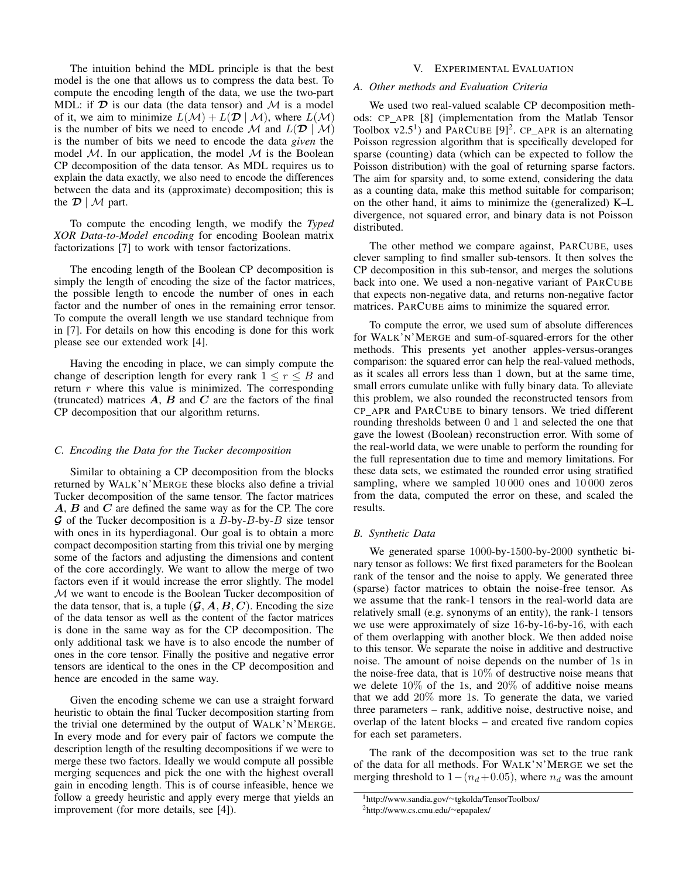The intuition behind the MDL principle is that the best model is the one that allows us to compress the data best. To compute the encoding length of the data, we use the two-part MDL: if  $\mathcal D$  is our data (the data tensor) and  $\mathcal M$  is a model of it, we aim to minimize  $L(\mathcal{M}) + L(\mathcal{D} \mid \mathcal{M})$ , where  $L(\mathcal{M})$ is the number of bits we need to encode M and  $L(\mathcal{D} \mid \mathcal{M})$ is the number of bits we need to encode the data *given* the model  $M$ . In our application, the model  $M$  is the Boolean CP decomposition of the data tensor. As MDL requires us to explain the data exactly, we also need to encode the differences between the data and its (approximate) decomposition; this is the  $\mathcal{D} \mid \mathcal{M}$  part.

To compute the encoding length, we modify the *Typed XOR Data-to-Model encoding* for encoding Boolean matrix factorizations [7] to work with tensor factorizations.

The encoding length of the Boolean CP decomposition is simply the length of encoding the size of the factor matrices, the possible length to encode the number of ones in each factor and the number of ones in the remaining error tensor. To compute the overall length we use standard technique from in [7]. For details on how this encoding is done for this work please see our extended work [4].

Having the encoding in place, we can simply compute the change of description length for every rank  $1 \le r \le B$  and return  $r$  where this value is minimized. The corresponding (truncated) matrices  $A$ ,  $B$  and  $C$  are the factors of the final CP decomposition that our algorithm returns.

## *C. Encoding the Data for the Tucker decomposition*

Similar to obtaining a CP decomposition from the blocks returned by WALK'N'MERGE these blocks also define a trivial Tucker decomposition of the same tensor. The factor matrices A, B and C are defined the same way as for the CP. The core G of the Tucker decomposition is a  $B$ -by- $B$ -by- $B$  size tensor with ones in its hyperdiagonal. Our goal is to obtain a more compact decomposition starting from this trivial one by merging some of the factors and adjusting the dimensions and content of the core accordingly. We want to allow the merge of two factors even if it would increase the error slightly. The model M we want to encode is the Boolean Tucker decomposition of the data tensor, that is, a tuple  $(\mathcal{G}, A, B, C)$ . Encoding the size of the data tensor as well as the content of the factor matrices is done in the same way as for the CP decomposition. The only additional task we have is to also encode the number of ones in the core tensor. Finally the positive and negative error tensors are identical to the ones in the CP decomposition and hence are encoded in the same way.

Given the encoding scheme we can use a straight forward heuristic to obtain the final Tucker decomposition starting from the trivial one determined by the output of WALK'N'MERGE. In every mode and for every pair of factors we compute the description length of the resulting decompositions if we were to merge these two factors. Ideally we would compute all possible merging sequences and pick the one with the highest overall gain in encoding length. This is of course infeasible, hence we follow a greedy heuristic and apply every merge that yields an improvement (for more details, see [4]).

## V. EXPERIMENTAL EVALUATION

# *A. Other methods and Evaluation Criteria*

We used two real-valued scalable CP decomposition methods: CP APR [8] (implementation from the Matlab Tensor Toolbox  $v2.5<sup>1</sup>$ ) and PARCUBE [9]<sup>2</sup>. CP\_APR is an alternating Poisson regression algorithm that is specifically developed for sparse (counting) data (which can be expected to follow the Poisson distribution) with the goal of returning sparse factors. The aim for sparsity and, to some extend, considering the data as a counting data, make this method suitable for comparison; on the other hand, it aims to minimize the (generalized) K–L divergence, not squared error, and binary data is not Poisson distributed.

The other method we compare against, PARCUBE, uses clever sampling to find smaller sub-tensors. It then solves the CP decomposition in this sub-tensor, and merges the solutions back into one. We used a non-negative variant of PARCUBE that expects non-negative data, and returns non-negative factor matrices. PARCUBE aims to minimize the squared error.

To compute the error, we used sum of absolute differences for WALK'N'MERGE and sum-of-squared-errors for the other methods. This presents yet another apples-versus-oranges comparison: the squared error can help the real-valued methods, as it scales all errors less than 1 down, but at the same time, small errors cumulate unlike with fully binary data. To alleviate this problem, we also rounded the reconstructed tensors from CP APR and PARCUBE to binary tensors. We tried different rounding thresholds between 0 and 1 and selected the one that gave the lowest (Boolean) reconstruction error. With some of the real-world data, we were unable to perform the rounding for the full representation due to time and memory limitations. For these data sets, we estimated the rounded error using stratified sampling, where we sampled 10 000 ones and 10 000 zeros from the data, computed the error on these, and scaled the results.

# *B. Synthetic Data*

We generated sparse 1000-by-1500-by-2000 synthetic binary tensor as follows: We first fixed parameters for the Boolean rank of the tensor and the noise to apply. We generated three (sparse) factor matrices to obtain the noise-free tensor. As we assume that the rank-1 tensors in the real-world data are relatively small (e.g. synonyms of an entity), the rank-1 tensors we use were approximately of size 16-by-16-by-16, with each of them overlapping with another block. We then added noise to this tensor. We separate the noise in additive and destructive noise. The amount of noise depends on the number of 1s in the noise-free data, that is 10% of destructive noise means that we delete 10% of the 1s, and 20% of additive noise means that we add 20% more 1s. To generate the data, we varied three parameters – rank, additive noise, destructive noise, and overlap of the latent blocks – and created five random copies for each set parameters.

The rank of the decomposition was set to the true rank of the data for all methods. For WALK'N'MERGE we set the merging threshold to  $1-(n_d+0.05)$ , where  $n_d$  was the amount

<sup>1</sup>http://www.sandia.gov/∼tgkolda/TensorToolbox/

<sup>2</sup>http://www.cs.cmu.edu/∼epapalex/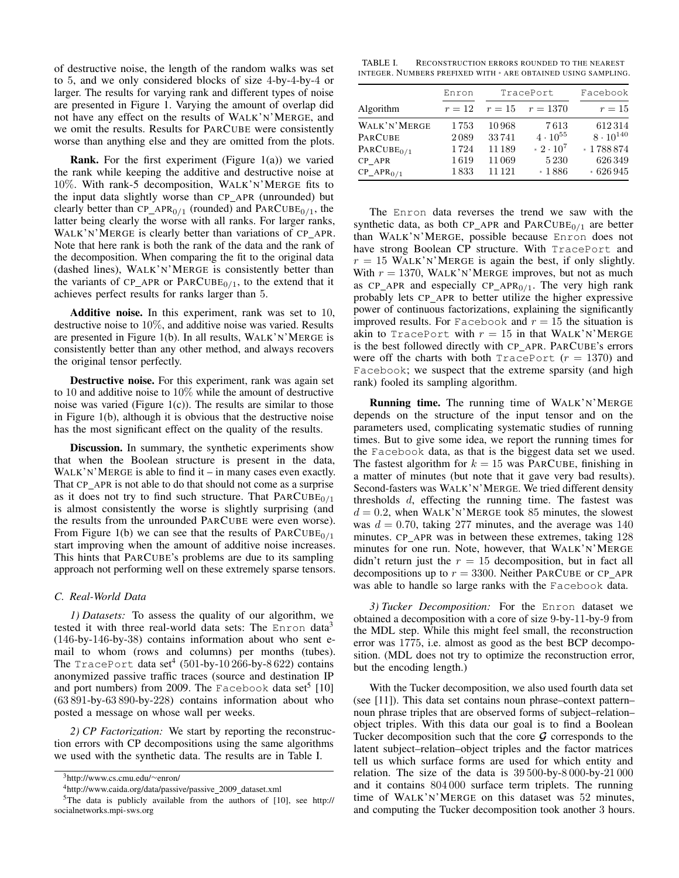of destructive noise, the length of the random walks was set to 5, and we only considered blocks of size 4-by-4-by-4 or larger. The results for varying rank and different types of noise are presented in Figure 1. Varying the amount of overlap did not have any effect on the results of WALK'N'MERGE, and we omit the results. Results for PARCUBE were consistently worse than anything else and they are omitted from the plots.

**Rank.** For the first experiment (Figure  $1(a)$ ) we varied the rank while keeping the additive and destructive noise at 10%. With rank-5 decomposition, WALK'N'MERGE fits to the input data slightly worse than CP APR (unrounded) but clearly better than  $CP_{APR<sub>0/1</sub>}$  (rounded) and  $PARCUBE<sub>0/1</sub>$ , the latter being clearly the worse with all ranks. For larger ranks, WALK'N'MERGE is clearly better than variations of CP APR. Note that here rank is both the rank of the data and the rank of the decomposition. When comparing the fit to the original data (dashed lines), WALK'N'MERGE is consistently better than the variants of CP\_APR or  $PARCUBE<sub>0/1</sub>$ , to the extend that it achieves perfect results for ranks larger than 5.

Additive noise. In this experiment, rank was set to 10, destructive noise to 10%, and additive noise was varied. Results are presented in Figure 1(b). In all results, WALK'N'MERGE is consistently better than any other method, and always recovers the original tensor perfectly.

Destructive noise. For this experiment, rank was again set to 10 and additive noise to 10% while the amount of destructive noise was varied (Figure  $1(c)$ ). The results are similar to those in Figure 1(b), although it is obvious that the destructive noise has the most significant effect on the quality of the results.

Discussion. In summary, the synthetic experiments show that when the Boolean structure is present in the data,  $WALK'N'MERGE$  is able to find it – in many cases even exactly. That CP\_APR is not able to do that should not come as a surprise as it does not try to find such structure. That  $PARCUBE<sub>0/1</sub>$ is almost consistently the worse is slightly surprising (and the results from the unrounded PARCUBE were even worse). From Figure 1(b) we can see that the results of  $PARCUBE<sub>0/1</sub>$ start improving when the amount of additive noise increases. This hints that PARCUBE's problems are due to its sampling approach not performing well on these extremely sparse tensors.

## *C. Real-World Data*

*1) Datasets:* To assess the quality of our algorithm, we tested it with three real-world data sets: The Enron data<sup>3</sup> (146-by-146-by-38) contains information about who sent email to whom (rows and columns) per months (tubes). The TracePort data set<sup>4</sup> (501-by-10266-by-8622) contains anonymized passive traffic traces (source and destination IP and port numbers) from 2009. The Facebook data set<sup>5</sup> [10] (63 891-by-63 890-by-228) contains information about who posted a message on whose wall per weeks.

*2) CP Factorization:* We start by reporting the reconstruction errors with CP decompositions using the same algorithms we used with the synthetic data. The results are in Table I.

TABLE I. RECONSTRUCTION ERRORS ROUNDED TO THE NEAREST INTEGER. NUMBERS PREFIXED WITH \* ARE OBTAINED USING SAMPLING.

|                | Enron  |        | TracePort         | Facebook           |
|----------------|--------|--------|-------------------|--------------------|
| Algorithm      | $r=12$ | $r=15$ | $r = 1370$        | $r=15$             |
| WALK'N'MERGE   | 1753   | 10968  | 7613              | 612314             |
| <b>PARCUBE</b> | 2089   | 33741  | $4 \cdot 10^{55}$ | $8 \cdot 10^{140}$ |
| $PARCUBE0/1$   | 1724   | 11189  | $*2 \cdot 10^7$   | * 1788 874         |
| CP APR         | 1619   | 11069  | 5 2 3 0           | 626349             |
| $CP\_APR0/1$   | 1833   | 11 121 | $*1886$           | $*626945$          |

The Enron data reverses the trend we saw with the synthetic data, as both CP\_APR and  $PARCUBE<sub>0/1</sub>$  are better than WALK'N'MERGE, possible because Enron does not have strong Boolean CP structure. With TracePort and  $r = 15$  WALK'N'MERGE is again the best, if only slightly. With  $r = 1370$ , WALK'N'MERGE improves, but not as much as CP\_APR and especially  $CP\_APR<sub>0/1</sub>$ . The very high rank probably lets CP APR to better utilize the higher expressive power of continuous factorizations, explaining the significantly improved results. For Facebook and  $r = 15$  the situation is akin to TracePort with  $r = 15$  in that WALK'N'MERGE is the best followed directly with CP\_APR. PARCUBE's errors were off the charts with both TracePort  $(r = 1370)$  and Facebook; we suspect that the extreme sparsity (and high rank) fooled its sampling algorithm.

Running time. The running time of WALK'N'MERGE depends on the structure of the input tensor and on the parameters used, complicating systematic studies of running times. But to give some idea, we report the running times for the Facebook data, as that is the biggest data set we used. The fastest algorithm for  $k = 15$  was PARCUBE, finishing in a matter of minutes (but note that it gave very bad results). Second-fasters was WALK'N'MERGE. We tried different density thresholds d, effecting the running time. The fastest was  $d = 0.2$ , when WALK'N'MERGE took 85 minutes, the slowest was  $d = 0.70$ , taking 277 minutes, and the average was 140 minutes. CP\_APR was in between these extremes, taking 128 minutes for one run. Note, however, that WALK'N'MERGE didn't return just the  $r = 15$  decomposition, but in fact all decompositions up to  $r = 3300$ . Neither PARCUBE or CP\_APR was able to handle so large ranks with the Facebook data.

*3) Tucker Decomposition:* For the Enron dataset we obtained a decomposition with a core of size 9-by-11-by-9 from the MDL step. While this might feel small, the reconstruction error was 1775, i.e. almost as good as the best BCP decomposition. (MDL does not try to optimize the reconstruction error, but the encoding length.)

With the Tucker decomposition, we also used fourth data set (see [11]). This data set contains noun phrase–context pattern– noun phrase triples that are observed forms of subject–relation– object triples. With this data our goal is to find a Boolean Tucker decomposition such that the core  $\mathcal G$  corresponds to the latent subject–relation–object triples and the factor matrices tell us which surface forms are used for which entity and relation. The size of the data is 39 500-by-8 000-by-21 000 and it contains 804 000 surface term triplets. The running time of WALK'N'MERGE on this dataset was 52 minutes, and computing the Tucker decomposition took another 3 hours.

<sup>3</sup>http://www.cs.cmu.edu/∼enron/

<sup>&</sup>lt;sup>4</sup>http://www.caida.org/data/passive/passive\_2009\_dataset.xml

<sup>&</sup>lt;sup>5</sup>The data is publicly available from the authors of [10], see http:// socialnetworks.mpi-sws.org